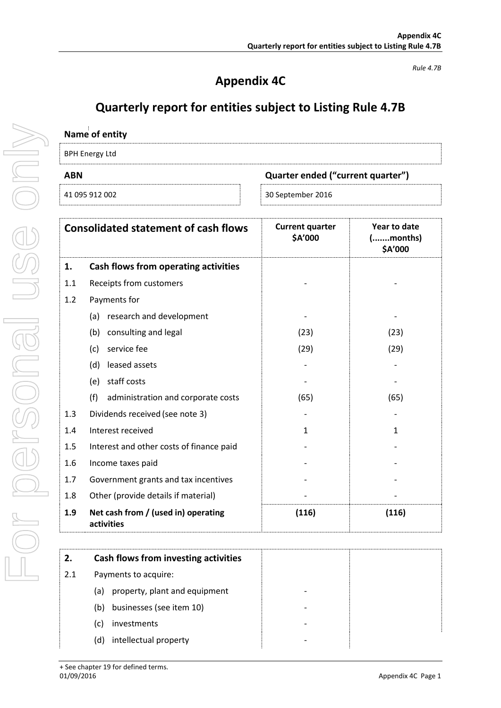# **Appendix 4C**

*Rule 4.7B*

# **Quarterly report for entities subject to Listing Rule 4.7B**

| Quarter ended ("current quarter") |
|-----------------------------------|
| 30 September 2016                 |
|                                   |

|     | <b>Consolidated statement of cash flows</b>       | <b>Current quarter</b><br>\$A'000 | Year to date<br>( <i>month</i> s)<br>\$A'000 |
|-----|---------------------------------------------------|-----------------------------------|----------------------------------------------|
| 1.  | Cash flows from operating activities              |                                   |                                              |
| 1.1 | Receipts from customers                           |                                   |                                              |
| 1.2 | Payments for                                      |                                   |                                              |
|     | research and development<br>(a)                   |                                   |                                              |
|     | consulting and legal<br>(b)                       | (23)                              | (23)                                         |
|     | service fee<br>(c)                                | (29)                              | (29)                                         |
|     | leased assets<br>(d)                              |                                   |                                              |
|     | staff costs<br>(e)                                |                                   |                                              |
|     | (f)<br>administration and corporate costs         | (65)                              | (65)                                         |
| 1.3 | Dividends received (see note 3)                   |                                   |                                              |
| 1.4 | Interest received                                 | 1                                 | $\mathbf{1}$                                 |
| 1.5 | Interest and other costs of finance paid          |                                   |                                              |
| 1.6 | Income taxes paid                                 |                                   |                                              |
| 1.7 | Government grants and tax incentives              |                                   |                                              |
| 1.8 | Other (provide details if material)               |                                   |                                              |
| 1.9 | Net cash from / (used in) operating<br>activities | (116)                             | (116)                                        |

| 2.  | Cash flows from investing activities |  |
|-----|--------------------------------------|--|
| 2.1 | Payments to acquire:                 |  |
|     | property, plant and equipment<br>(a) |  |
|     | businesses (see item 10)<br>(b)      |  |
|     | investments<br>(c)                   |  |
|     | intellectual property<br>(d)         |  |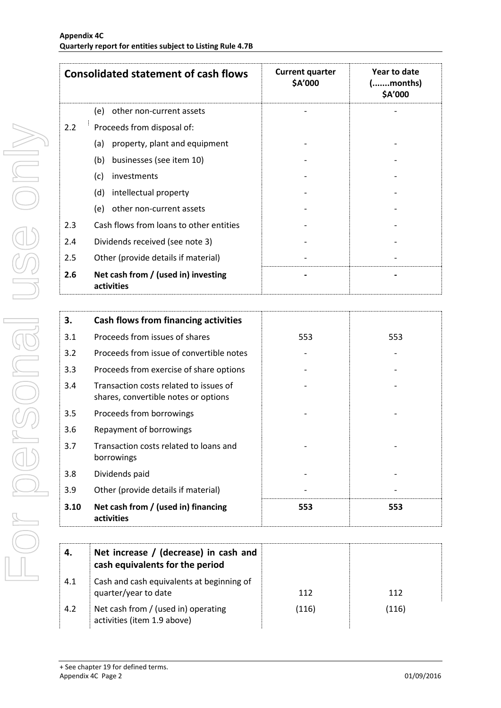|     | <b>Consolidated statement of cash flows</b>       | <b>Current quarter</b><br>\$A'000 | Year to date<br>(months)<br>\$A'000 |
|-----|---------------------------------------------------|-----------------------------------|-------------------------------------|
|     | (e)<br>other non-current assets                   |                                   |                                     |
| 2.2 | Proceeds from disposal of:                        |                                   |                                     |
|     | property, plant and equipment<br>(a)              |                                   |                                     |
|     | businesses (see item 10)<br>(b)                   |                                   |                                     |
|     | (c)<br>investments                                |                                   |                                     |
|     | intellectual property<br>(d)                      |                                   |                                     |
|     | other non-current assets<br>(e)                   |                                   |                                     |
| 2.3 | Cash flows from loans to other entities           |                                   |                                     |
| 2.4 | Dividends received (see note 3)                   |                                   |                                     |
| 2.5 | Other (provide details if material)               |                                   |                                     |
| 2.6 | Net cash from / (used in) investing<br>activities |                                   |                                     |

| 3.   | Cash flows from financing activities                                           |     |     |
|------|--------------------------------------------------------------------------------|-----|-----|
| 3.1  | Proceeds from issues of shares                                                 | 553 | 553 |
| 3.2  | Proceeds from issue of convertible notes                                       |     |     |
| 3.3  | Proceeds from exercise of share options                                        |     |     |
| 3.4  | Transaction costs related to issues of<br>shares, convertible notes or options |     |     |
| 3.5  | Proceeds from borrowings                                                       |     |     |
| 3.6  | Repayment of borrowings                                                        |     |     |
| 3.7  | Transaction costs related to loans and<br>borrowings                           |     |     |
| 3.8  | Dividends paid                                                                 |     |     |
| 3.9  | Other (provide details if material)                                            |     |     |
| 3.10 | Net cash from / (used in) financing<br>activities                              | 553 | 553 |

| 4.  | Net increase / (decrease) in cash and<br>cash equivalents for the period |       |       |
|-----|--------------------------------------------------------------------------|-------|-------|
| 4.1 | Cash and cash equivalents at beginning of<br>quarter/year to date        | 112   | 112   |
| 4.2 | Net cash from / (used in) operating<br>activities (item 1.9 above)       | (116) | (116) |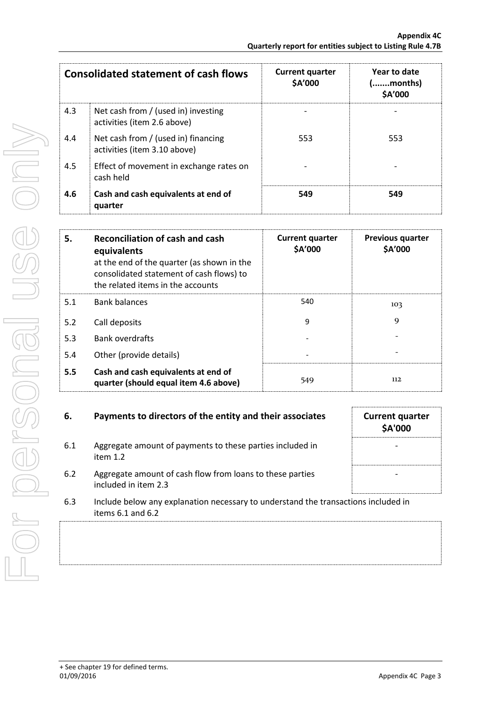|     | <b>Consolidated statement of cash flows</b>                         | <b>Current quarter</b><br>\$A'000 | Year to date<br>(months)<br>\$A'000 |
|-----|---------------------------------------------------------------------|-----------------------------------|-------------------------------------|
| 4.3 | Net cash from / (used in) investing<br>activities (item 2.6 above)  |                                   |                                     |
| 4.4 | Net cash from / (used in) financing<br>activities (item 3.10 above) | 553                               | 553                                 |
| 4.5 | Effect of movement in exchange rates on<br>cash held                |                                   |                                     |
| 4.6 | Cash and cash equivalents at end of<br>quarter                      | 549                               | 549                                 |

| 5.  | Reconciliation of cash and cash<br>equivalents<br>at the end of the quarter (as shown in the<br>consolidated statement of cash flows) to<br>the related items in the accounts | <b>Current quarter</b><br>\$A'000 | <b>Previous quarter</b><br>\$A'000 |
|-----|-------------------------------------------------------------------------------------------------------------------------------------------------------------------------------|-----------------------------------|------------------------------------|
| 5.1 | <b>Bank balances</b>                                                                                                                                                          | 540                               | 103                                |
| 5.2 | Call deposits                                                                                                                                                                 | 9                                 | 9                                  |
| 5.3 | <b>Bank overdrafts</b>                                                                                                                                                        |                                   |                                    |
| 5.4 | Other (provide details)                                                                                                                                                       |                                   |                                    |
| 5.5 | Cash and cash equivalents at end of<br>quarter (should equal item 4.6 above)                                                                                                  | 549                               | 112                                |

#### **6.** Payments to directors of the entity and their associates

6.1 Aggregate amount of payments to these parties included in item 1.2

| <b>Current quarter</b><br>\$A'000 |  |
|-----------------------------------|--|
|                                   |  |
|                                   |  |

- 6.2 Aggregate amount of cash flow from loans to these parties included in item 2.3
- 6.3 Include below any explanation necessary to understand the transactions included in items 6.1 and 6.2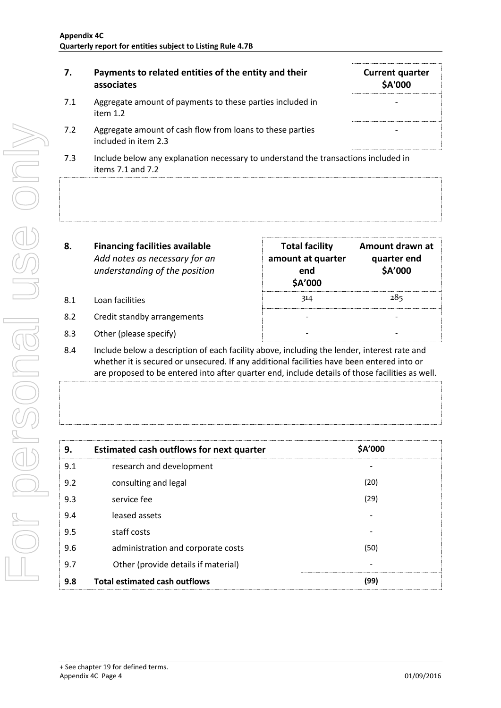| 7.  | Payments to related entities of the entity and their<br>associates                                          | <b>Current quarter</b><br><b>\$A'000</b> |
|-----|-------------------------------------------------------------------------------------------------------------|------------------------------------------|
| 7.1 | Aggregate amount of payments to these parties included in<br>item $1.2$                                     |                                          |
| 7.2 | Aggregate amount of cash flow from loans to these parties<br>included in item 2.3                           |                                          |
| 7.3 | Include below any explanation necessary to understand the transactions included in<br>items $7.1$ and $7.2$ |                                          |

| 8.  | <b>Financing facilities available</b><br>Add notes as necessary for an<br>understanding of the position | <b>Total facility</b><br>amount at quarter<br>end<br>\$A'000 | Amount drawn at<br>quarter end<br>\$A'000 |
|-----|---------------------------------------------------------------------------------------------------------|--------------------------------------------------------------|-------------------------------------------|
| 8.1 | Loan facilities                                                                                         | 314                                                          | 285                                       |
| 8.2 | Credit standby arrangements                                                                             |                                                              |                                           |
|     |                                                                                                         |                                                              |                                           |

- 8.3 Other (please specify)
- 8.4 Include below a description of each facility above, including the lender, interest rate and whether it is secured or unsecured. If any additional facilities have been entered into or are proposed to be entered into after quarter end, include details of those facilities as well.

| 9.  | <b>Estimated cash outflows for next quarter</b> | \$A'000 |
|-----|-------------------------------------------------|---------|
| 9.1 | research and development                        |         |
| 9.2 | consulting and legal                            | (20)    |
| 9.3 | service fee                                     | (29)    |
| 9.4 | leased assets                                   |         |
| 9.5 | staff costs                                     |         |
| 9.6 | administration and corporate costs              | (50)    |
| 9.7 | Other (provide details if material)             |         |
| 9.8 | <b>Total estimated cash outflows</b>            | (99)    |